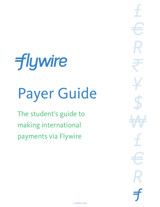# **flywire**

## Payer Guide

The student's guide to making international payments via Flywire

\$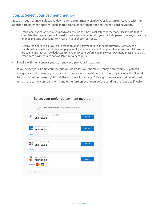#### Step 2: Select your payment method

Based on your country selection, Flywire will automatically display your local currency rate with the appropriate payment options, such as traditional bank transfer or debit/credit card payment.

- Traditional bank transfer (also known as a wire) is the most cost-efective method. Please note that to complete the payment you will need to make arrangements with your bank (in person, online, or over the phone) and send your funds to Flywire in your chosen currency.
- Debit/credit card will allow you to make an online payment in your home currency. Contrary to a traditional international credit card payment, Flywire handles the foreign exchange so you will know the exact amount that will be deducted from your account before you make your payment. Please note that credit card payments are not available in every country.
- Flywire will then convert your currency and pay your institution.
- If you select your home country, but you don't see your home currency, don't worry you can always pay in the currency of your institution or select a diferent currency by clicking the "I want to pay in another currency" link at the bottom of the page. Although the process and benefts will remain the same, your bank will handle the foreign exchange before sending the funds to Flywire.

|                   | $\begin{bmatrix} 1 & 0 \\ 0 & 0 \\ 0 & 0 \\ 0 & 0 \\ 0 & 0 \\ 0 & 0 \\ 0 & 0 \\ 0 & 0 \\ 0 & 0 \\ 0 & 0 \\ 0 & 0 \\ 0 & 0 \\ 0 & 0 \\ 0 & 0 \\ 0 & 0 \\ 0 & 0 \\ 0 & 0 \\ 0 & 0 \\ 0 & 0 \\ 0 & 0 \\ 0 & 0 \\ 0 & 0 \\ 0 & 0 \\ 0 & 0 \\ 0 & 0 \\ 0 & 0 \\ 0 & 0 \\ 0 & 0 \\ 0 & 0 \\ 0 & 0 \\ 0 & 0 \\ 0 & 0 \\ 0 & 0 \\ 0 & 0 \\ 0 & 0 \\ 0 & $<br>Best Price Guaranteed Subject to terms and conditions | 四             |
|-------------------|------------------------------------------------------------------------------------------------------------------------------------------------------------------------------------------------------------------------------------------------------------------------------------------------------------------------------------------------------------------------------------------------------------|---------------|
| πm                | Bank Transfer in Singapore Dollar (SGD)<br>S\$1,709.00                                                                                                                                                                                                                                                                                                                                                     | <b>SELECT</b> |
| 燄                 | American Express in SGD<br>S\$1,746.00                                                                                                                                                                                                                                                                                                                                                                     | <b>SELECT</b> |
| More info $\sim$  |                                                                                                                                                                                                                                                                                                                                                                                                            |               |
| J <mark>св</mark> | <b>JCB Credit Card in SGD</b><br>S\$1,755.00                                                                                                                                                                                                                                                                                                                                                               | <b>SELECT</b> |
| More info $\sim$  |                                                                                                                                                                                                                                                                                                                                                                                                            |               |
| <b>VISA</b>       | Debit/Credit in SGD<br>S\$1,746.00                                                                                                                                                                                                                                                                                                                                                                         | <b>SELECT</b> |
| Supports:         | <b>VISA</b>                                                                                                                                                                                                                                                                                                                                                                                                |               |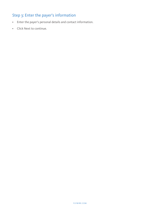#### Step 3: Enter the payer's information

- Enter the payer's personal details and contact information.
- Click Next to continue.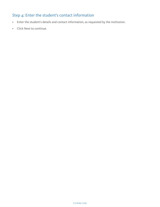### Step  $4$ : Enter the student's contact information

- Enter the student's details and contact information, as requested by the institution.
- Click Next to continue.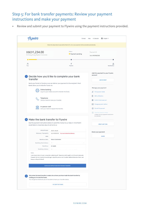#### Step 5: For bank transfer payments: Review your payment instructions and make your payment

• Review and submit your payment to Flywire using the payment instructions provided.

|                                                                                                               | Contact                                                                                                                                                                                                                     | ® English ~<br>Hi. Salvador<br>Help                                        |
|---------------------------------------------------------------------------------------------------------------|-----------------------------------------------------------------------------------------------------------------------------------------------------------------------------------------------------------------------------|----------------------------------------------------------------------------|
|                                                                                                               | Follow the steps below to pay before March 29, 2020 or your payment will be cancelled automatically.                                                                                                                        |                                                                            |
| HKD1,234.00<br>to Hong Kong Baptist University                                                                | Status<br>● Payment pending                                                                                                                                                                                                 | Payment ID<br>HKU490985358                                                 |
| Α<br>You                                                                                                      | ザ<br>Flywire                                                                                                                                                                                                                | m<br>Destination                                                           |
| transfer                                                                                                      | Decide how you'd like to complete your bank                                                                                                                                                                                 | Add this payment to your Flywire<br>account                                |
|                                                                                                               | Send your funds to Flywire so we can deliver your payment to the recipient. Most                                                                                                                                            | <b>ADD PAYMENT</b>                                                         |
| banks allow you to transfer funds via<br>Online banking                                                       | Log in to your online account to transfer the funds.                                                                                                                                                                        | Manage your payment<br>C Edit payment details                              |
| Telephone                                                                                                     | Call your bank to make your transfer.                                                                                                                                                                                       | 見<br>SMS notifications<br><b>自</b> Confirm funds were sent                 |
| In-person visit                                                                                               | Go to your bank to request the transfer.                                                                                                                                                                                    | Change payment method<br>Cancel this payment<br>4 Download payment receipt |
|                                                                                                               |                                                                                                                                                                                                                             | Available once your payment is delivered to                                |
| Make the bank transfer to Flywire<br>would take 2-3 business days to arrive to us                             | Use the payment instructions below to send the money to us. Keep in mind that it                                                                                                                                            | the Institution<br>GREAT LINK TO BU                                        |
| Amount to pay:                                                                                                |                                                                                                                                                                                                                             |                                                                            |
| Reference / Payment ID:                                                                                       | SGD1,746.00<br>HKU490985358 You must include this reference                                                                                                                                                                 | Share your payment                                                         |
| <b>IBAN:</b>                                                                                                  | ES                                                                                                                                                                                                                          | SHARE                                                                      |
| Beneficiary Bank:                                                                                             | Banco Santander                                                                                                                                                                                                             |                                                                            |
| Beneficiary Bank Address:                                                                                     | IJo.                                                                                                                                                                                                                        |                                                                            |
| Beneficiary:                                                                                                  | <b>FLYWIRE</b>                                                                                                                                                                                                              |                                                                            |
| Beneficiary Address:                                                                                          | C.                                                                                                                                                                                                                          |                                                                            |
| Notes:<br>tempus nulls ports blandit.                                                                         | Lorem ipsum dolor sit amet, consectetur adipiscing elit. Maecenas mattis sagittis orci sit amet malesuada.<br>Praesent nibh dui, lobortis id suscipit eget, vulputate pretium nist. Curabitur eleifend bibendum libero, sed |                                                                            |
|                                                                                                               | DOWNLOAD INSTRUCTIONS FOR THE BANK TRANSFER                                                                                                                                                                                 |                                                                            |
| clicking on I've sent the funds.<br>You will get an email and you will be able to track your transfer status. | Only when the bank transfer is made, let us know you have made the bank transfer by                                                                                                                                         |                                                                            |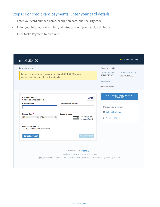#### Step 6: For credit card payments: Enter your card details

- Enter your card number, name, expiration date, and security code.
- Enter your information within 15 minutes to avoid your session timing out.
- Click Make Payment to continue.

| HKD1,234.00                                                                                                                                                                                         |                                                                                                                                                                                               |                                                                                       | • Payment pending                   |
|-----------------------------------------------------------------------------------------------------------------------------------------------------------------------------------------------------|-----------------------------------------------------------------------------------------------------------------------------------------------------------------------------------------------|---------------------------------------------------------------------------------------|-------------------------------------|
| Payment status<br>Follow the steps below to pay before March 29th 2020 or your<br>payment will be cancelled automatically.                                                                          |                                                                                                                                                                                               | Payment details<br>You're sending<br>SGD1,746.00<br><b>Payment ID</b><br>HKU490985358 | They're receiving<br>HKD1,234.00    |
| <b>Payment details</b><br>* Indicates a required field<br>Card number *<br>Expiry date *<br>Month<br>$\overline{\bullet}$<br>Year<br>Contact details $\checkmark$<br>+34 432 543 123, zli@gmail.com | <b>VISA</b><br>Cardholder's name *<br><b>Security code</b><br>Last 3 digits on<br>$\div$<br>the back of card                                                                                  | Manage your payment<br>目 SMS notifications<br>○ Cancel payment                        | ADD THIS PAYMENT TO YOUR<br>ACCOUNT |
| <b>Cancel payment</b>                                                                                                                                                                               | <b>Make Payment</b><br>POWERED BY flywire<br>St. Olaf College address: 1520 St. Olaf Ave<br>Copyright ©Flywire. 2009-2018 All rights reserved. Flywire is a trademark of Flywire Corporation. |                                                                                       |                                     |